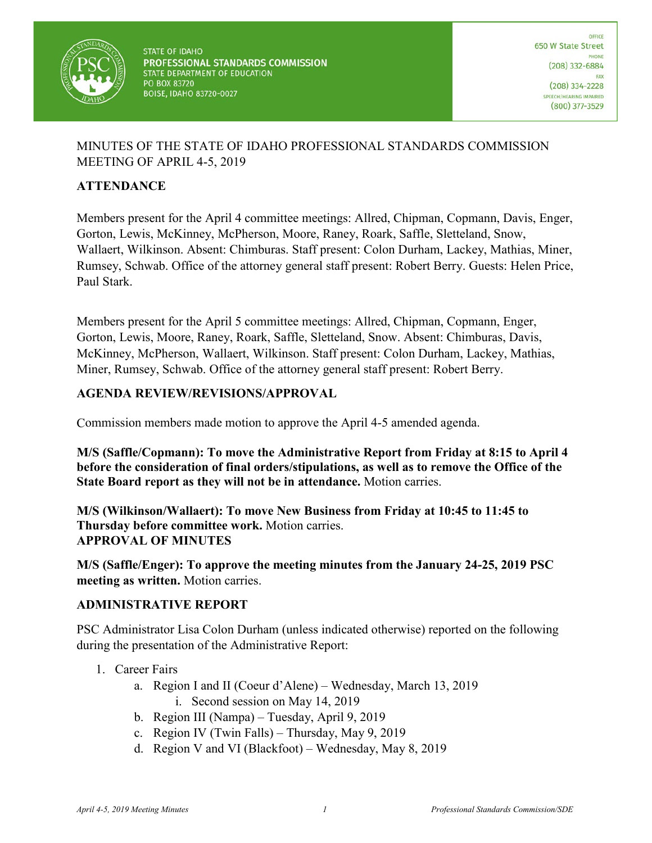

## MINUTES OF THE STATE OF IDAHO PROFESSIONAL STANDARDS COMMISSION MEETING OF APRIL 4-5, 2019

### **ATTENDANCE**

Members present for the April 4 committee meetings: Allred, Chipman, Copmann, Davis, Enger, Gorton, Lewis, McKinney, McPherson, Moore, Raney, Roark, Saffle, Sletteland, Snow, Wallaert, Wilkinson. Absent: Chimburas. Staff present: Colon Durham, Lackey, Mathias, Miner, Rumsey, Schwab. Office of the attorney general staff present: Robert Berry. Guests: Helen Price, Paul Stark.

Members present for the April 5 committee meetings: Allred, Chipman, Copmann, Enger, Gorton, Lewis, Moore, Raney, Roark, Saffle, Sletteland, Snow. Absent: Chimburas, Davis, McKinney, McPherson, Wallaert, Wilkinson. Staff present: Colon Durham, Lackey, Mathias, Miner, Rumsey, Schwab. Office of the attorney general staff present: Robert Berry.

#### **AGENDA REVIEW/REVISIONS/APPROVAL**

Commission members made motion to approve the April 4-5 amended agenda.

**M/S (Saffle/Copmann): To move the Administrative Report from Friday at 8:15 to April 4 before the consideration of final orders/stipulations, as well as to remove the Office of the State Board report as they will not be in attendance.** Motion carries.

**M/S (Wilkinson/Wallaert): To move New Business from Friday at 10:45 to 11:45 to Thursday before committee work.** Motion carries. **APPROVAL OF MINUTES**

**M/S (Saffle/Enger): To approve the meeting minutes from the January 24-25, 2019 PSC meeting as written.** Motion carries.

#### **ADMINISTRATIVE REPORT**

PSC Administrator Lisa Colon Durham (unless indicated otherwise) reported on the following during the presentation of the Administrative Report:

- 1. Career Fairs
	- a. Region I and II (Coeur d'Alene) Wednesday, March 13, 2019 i. Second session on May 14, 2019
	- b. Region III (Nampa) Tuesday, April 9, 2019
	- c. Region IV (Twin Falls) Thursday, May 9, 2019
	- d. Region V and VI (Blackfoot) Wednesday, May 8, 2019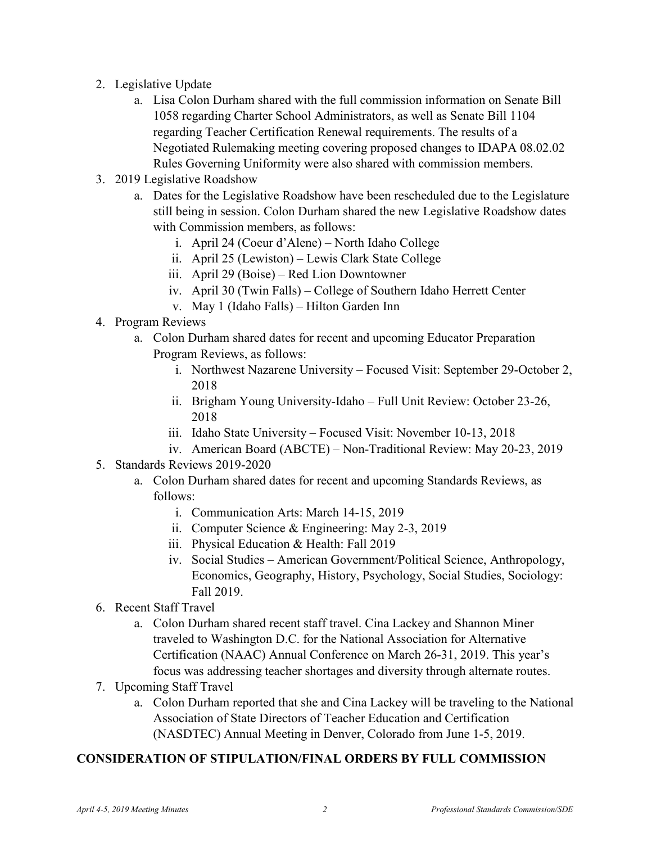- 2. Legislative Update
	- a. Lisa Colon Durham shared with the full commission information on Senate Bill 1058 regarding Charter School Administrators, as well as Senate Bill 1104 regarding Teacher Certification Renewal requirements. The results of a Negotiated Rulemaking meeting covering proposed changes to IDAPA 08.02.02 Rules Governing Uniformity were also shared with commission members.
- 3. 2019 Legislative Roadshow
	- a. Dates for the Legislative Roadshow have been rescheduled due to the Legislature still being in session. Colon Durham shared the new Legislative Roadshow dates with Commission members, as follows:
		- i. April 24 (Coeur d'Alene) North Idaho College
		- ii. April 25 (Lewiston) Lewis Clark State College
		- iii. April 29 (Boise) Red Lion Downtowner
		- iv. April 30 (Twin Falls) College of Southern Idaho Herrett Center
		- v. May 1 (Idaho Falls) Hilton Garden Inn
- 4. Program Reviews
	- a. Colon Durham shared dates for recent and upcoming Educator Preparation Program Reviews, as follows:
		- i. Northwest Nazarene University Focused Visit: September 29-October 2, 2018
		- ii. Brigham Young University-Idaho Full Unit Review: October 23-26, 2018
		- iii. Idaho State University Focused Visit: November 10-13, 2018
		- iv. American Board (ABCTE) Non-Traditional Review: May 20-23, 2019
- 5. Standards Reviews 2019-2020
	- a. Colon Durham shared dates for recent and upcoming Standards Reviews, as follows:
		- i. Communication Arts: March 14-15, 2019
		- ii. Computer Science & Engineering: May 2-3, 2019
		- iii. Physical Education & Health: Fall 2019
		- iv. Social Studies American Government/Political Science, Anthropology, Economics, Geography, History, Psychology, Social Studies, Sociology: Fall 2019.
- 6. Recent Staff Travel
	- a. Colon Durham shared recent staff travel. Cina Lackey and Shannon Miner traveled to Washington D.C. for the National Association for Alternative Certification (NAAC) Annual Conference on March 26-31, 2019. This year's focus was addressing teacher shortages and diversity through alternate routes.
- 7. Upcoming Staff Travel
	- a. Colon Durham reported that she and Cina Lackey will be traveling to the National Association of State Directors of Teacher Education and Certification (NASDTEC) Annual Meeting in Denver, Colorado from June 1-5, 2019.

#### **CONSIDERATION OF STIPULATION/FINAL ORDERS BY FULL COMMISSION**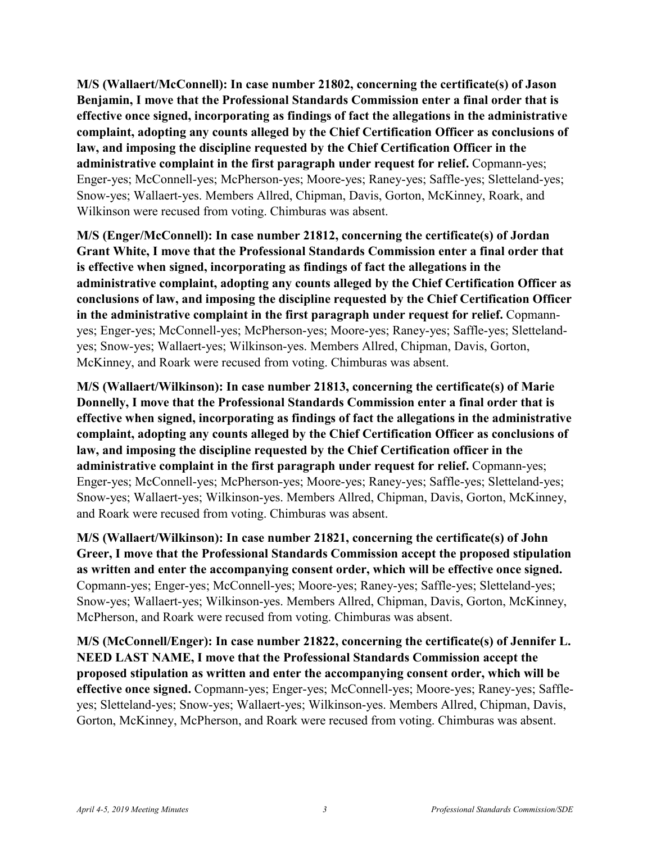**M/S (Wallaert/McConnell): In case number 21802, concerning the certificate(s) of Jason Benjamin, I move that the Professional Standards Commission enter a final order that is effective once signed, incorporating as findings of fact the allegations in the administrative complaint, adopting any counts alleged by the Chief Certification Officer as conclusions of law, and imposing the discipline requested by the Chief Certification Officer in the administrative complaint in the first paragraph under request for relief.** Copmann-yes; Enger-yes; McConnell-yes; McPherson-yes; Moore-yes; Raney-yes; Saffle-yes; Sletteland-yes; Snow-yes; Wallaert-yes. Members Allred, Chipman, Davis, Gorton, McKinney, Roark, and Wilkinson were recused from voting. Chimburas was absent.

**M/S (Enger/McConnell): In case number 21812, concerning the certificate(s) of Jordan Grant White, I move that the Professional Standards Commission enter a final order that is effective when signed, incorporating as findings of fact the allegations in the administrative complaint, adopting any counts alleged by the Chief Certification Officer as conclusions of law, and imposing the discipline requested by the Chief Certification Officer in the administrative complaint in the first paragraph under request for relief.** Copmannyes; Enger-yes; McConnell-yes; McPherson-yes; Moore-yes; Raney-yes; Saffle-yes; Slettelandyes; Snow-yes; Wallaert-yes; Wilkinson-yes. Members Allred, Chipman, Davis, Gorton, McKinney, and Roark were recused from voting. Chimburas was absent.

**M/S (Wallaert/Wilkinson): In case number 21813, concerning the certificate(s) of Marie Donnelly, I move that the Professional Standards Commission enter a final order that is effective when signed, incorporating as findings of fact the allegations in the administrative complaint, adopting any counts alleged by the Chief Certification Officer as conclusions of law, and imposing the discipline requested by the Chief Certification officer in the administrative complaint in the first paragraph under request for relief.** Copmann-yes; Enger-yes; McConnell-yes; McPherson-yes; Moore-yes; Raney-yes; Saffle-yes; Sletteland-yes; Snow-yes; Wallaert-yes; Wilkinson-yes. Members Allred, Chipman, Davis, Gorton, McKinney, and Roark were recused from voting. Chimburas was absent.

**M/S (Wallaert/Wilkinson): In case number 21821, concerning the certificate(s) of John Greer, I move that the Professional Standards Commission accept the proposed stipulation as written and enter the accompanying consent order, which will be effective once signed.**  Copmann-yes; Enger-yes; McConnell-yes; Moore-yes; Raney-yes; Saffle-yes; Sletteland-yes; Snow-yes; Wallaert-yes; Wilkinson-yes. Members Allred, Chipman, Davis, Gorton, McKinney, McPherson, and Roark were recused from voting. Chimburas was absent.

**M/S (McConnell/Enger): In case number 21822, concerning the certificate(s) of Jennifer L. NEED LAST NAME, I move that the Professional Standards Commission accept the proposed stipulation as written and enter the accompanying consent order, which will be effective once signed.** Copmann-yes; Enger-yes; McConnell-yes; Moore-yes; Raney-yes; Saffleyes; Sletteland-yes; Snow-yes; Wallaert-yes; Wilkinson-yes. Members Allred, Chipman, Davis, Gorton, McKinney, McPherson, and Roark were recused from voting. Chimburas was absent.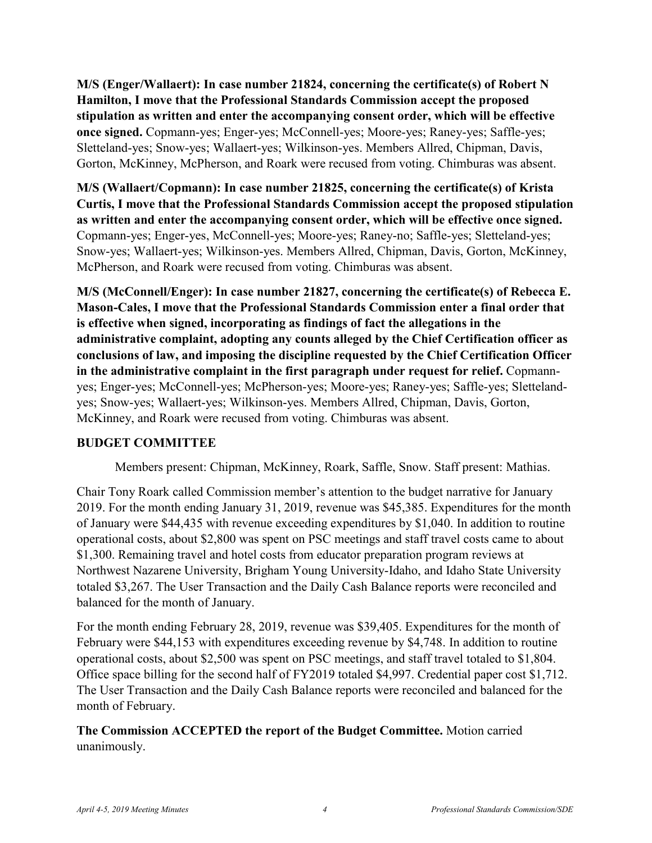**M/S (Enger/Wallaert): In case number 21824, concerning the certificate(s) of Robert N Hamilton, I move that the Professional Standards Commission accept the proposed stipulation as written and enter the accompanying consent order, which will be effective once signed.** Copmann-yes; Enger-yes; McConnell-yes; Moore-yes; Raney-yes; Saffle-yes; Sletteland-yes; Snow-yes; Wallaert-yes; Wilkinson-yes. Members Allred, Chipman, Davis, Gorton, McKinney, McPherson, and Roark were recused from voting. Chimburas was absent.

**M/S (Wallaert/Copmann): In case number 21825, concerning the certificate(s) of Krista Curtis, I move that the Professional Standards Commission accept the proposed stipulation as written and enter the accompanying consent order, which will be effective once signed.**  Copmann-yes; Enger-yes, McConnell-yes; Moore-yes; Raney-no; Saffle-yes; Sletteland-yes; Snow-yes; Wallaert-yes; Wilkinson-yes. Members Allred, Chipman, Davis, Gorton, McKinney, McPherson, and Roark were recused from voting. Chimburas was absent.

**M/S (McConnell/Enger): In case number 21827, concerning the certificate(s) of Rebecca E. Mason-Cales, I move that the Professional Standards Commission enter a final order that is effective when signed, incorporating as findings of fact the allegations in the administrative complaint, adopting any counts alleged by the Chief Certification officer as conclusions of law, and imposing the discipline requested by the Chief Certification Officer in the administrative complaint in the first paragraph under request for relief.** Copmannyes; Enger-yes; McConnell-yes; McPherson-yes; Moore-yes; Raney-yes; Saffle-yes; Slettelandyes; Snow-yes; Wallaert-yes; Wilkinson-yes. Members Allred, Chipman, Davis, Gorton, McKinney, and Roark were recused from voting. Chimburas was absent.

#### **BUDGET COMMITTEE**

Members present: Chipman, McKinney, Roark, Saffle, Snow. Staff present: Mathias.

Chair Tony Roark called Commission member's attention to the budget narrative for January 2019. For the month ending January 31, 2019, revenue was \$45,385. Expenditures for the month of January were \$44,435 with revenue exceeding expenditures by \$1,040. In addition to routine operational costs, about \$2,800 was spent on PSC meetings and staff travel costs came to about \$1,300. Remaining travel and hotel costs from educator preparation program reviews at Northwest Nazarene University, Brigham Young University-Idaho, and Idaho State University totaled \$3,267. The User Transaction and the Daily Cash Balance reports were reconciled and balanced for the month of January.

For the month ending February 28, 2019, revenue was \$39,405. Expenditures for the month of February were \$44,153 with expenditures exceeding revenue by \$4,748. In addition to routine operational costs, about \$2,500 was spent on PSC meetings, and staff travel totaled to \$1,804. Office space billing for the second half of FY2019 totaled \$4,997. Credential paper cost \$1,712. The User Transaction and the Daily Cash Balance reports were reconciled and balanced for the month of February.

**The Commission ACCEPTED the report of the Budget Committee.** Motion carried unanimously.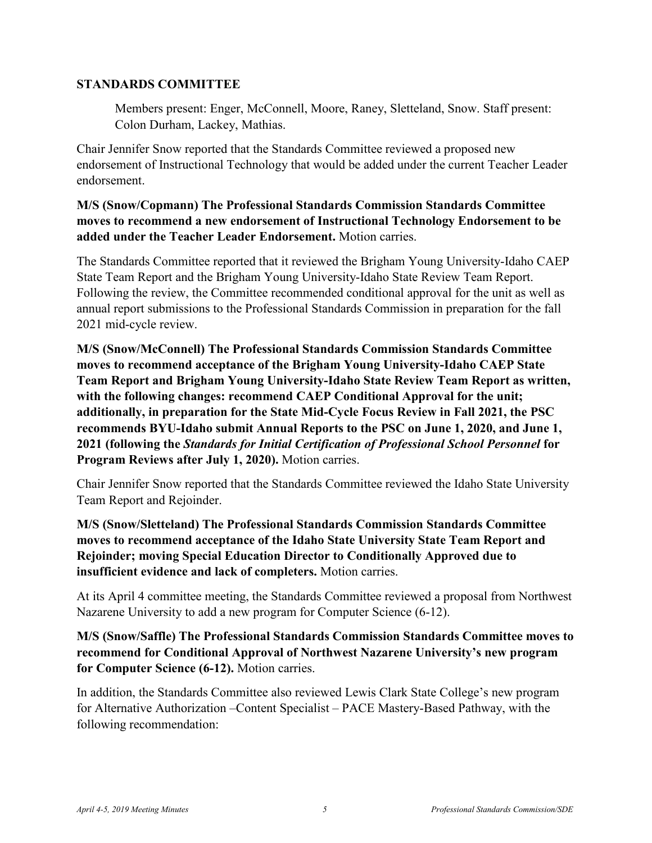#### **STANDARDS COMMITTEE**

Members present: Enger, McConnell, Moore, Raney, Sletteland, Snow. Staff present: Colon Durham, Lackey, Mathias.

Chair Jennifer Snow reported that the Standards Committee reviewed a proposed new endorsement of Instructional Technology that would be added under the current Teacher Leader endorsement.

### **M/S (Snow/Copmann) The Professional Standards Commission Standards Committee moves to recommend a new endorsement of Instructional Technology Endorsement to be added under the Teacher Leader Endorsement.** Motion carries.

The Standards Committee reported that it reviewed the Brigham Young University-Idaho CAEP State Team Report and the Brigham Young University-Idaho State Review Team Report. Following the review, the Committee recommended conditional approval for the unit as well as annual report submissions to the Professional Standards Commission in preparation for the fall 2021 mid-cycle review.

**M/S (Snow/McConnell) The Professional Standards Commission Standards Committee moves to recommend acceptance of the Brigham Young University-Idaho CAEP State Team Report and Brigham Young University-Idaho State Review Team Report as written, with the following changes: recommend CAEP Conditional Approval for the unit; additionally, in preparation for the State Mid-Cycle Focus Review in Fall 2021, the PSC recommends BYU-Idaho submit Annual Reports to the PSC on June 1, 2020, and June 1, 2021 (following the** *Standards for Initial Certification of Professional School Personnel* **for Program Reviews after July 1, 2020).** Motion carries.

Chair Jennifer Snow reported that the Standards Committee reviewed the Idaho State University Team Report and Rejoinder.

**M/S (Snow/Sletteland) The Professional Standards Commission Standards Committee moves to recommend acceptance of the Idaho State University State Team Report and Rejoinder; moving Special Education Director to Conditionally Approved due to insufficient evidence and lack of completers.** Motion carries.

At its April 4 committee meeting, the Standards Committee reviewed a proposal from Northwest Nazarene University to add a new program for Computer Science (6-12).

**M/S (Snow/Saffle) The Professional Standards Commission Standards Committee moves to recommend for Conditional Approval of Northwest Nazarene University's new program for Computer Science (6-12).** Motion carries.

In addition, the Standards Committee also reviewed Lewis Clark State College's new program for Alternative Authorization –Content Specialist – PACE Mastery-Based Pathway, with the following recommendation: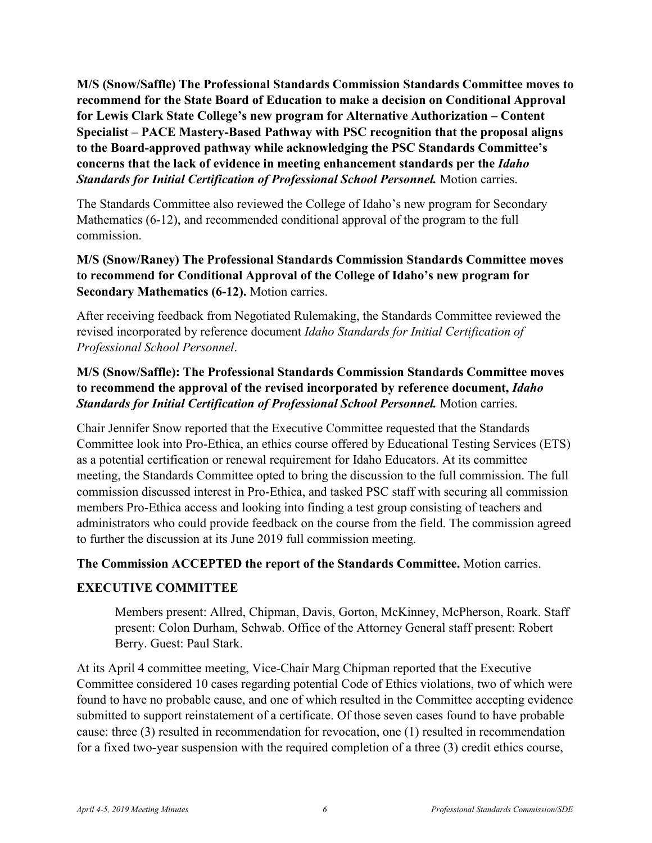**M/S (Snow/Saffle) The Professional Standards Commission Standards Committee moves to recommend for the State Board of Education to make a decision on Conditional Approval for Lewis Clark State College's new program for Alternative Authorization – Content Specialist – PACE Mastery-Based Pathway with PSC recognition that the proposal aligns to the Board-approved pathway while acknowledging the PSC Standards Committee's concerns that the lack of evidence in meeting enhancement standards per the** *Idaho*  **Standards for Initial Certification of Professional School Personnel.** Motion carries.

The Standards Committee also reviewed the College of Idaho's new program for Secondary Mathematics (6-12), and recommended conditional approval of the program to the full commission.

**M/S (Snow/Raney) The Professional Standards Commission Standards Committee moves to recommend for Conditional Approval of the College of Idaho's new program for Secondary Mathematics (6-12).** Motion carries.

After receiving feedback from Negotiated Rulemaking, the Standards Committee reviewed the revised incorporated by reference document *Idaho Standards for Initial Certification of Professional School Personnel*.

## **M/S (Snow/Saffle): The Professional Standards Commission Standards Committee moves to recommend the approval of the revised incorporated by reference document,** *Idaho*  **Standards for Initial Certification of Professional School Personnel.** Motion carries.

Chair Jennifer Snow reported that the Executive Committee requested that the Standards Committee look into Pro-Ethica, an ethics course offered by Educational Testing Services (ETS) as a potential certification or renewal requirement for Idaho Educators. At its committee meeting, the Standards Committee opted to bring the discussion to the full commission. The full commission discussed interest in Pro-Ethica, and tasked PSC staff with securing all commission members Pro-Ethica access and looking into finding a test group consisting of teachers and administrators who could provide feedback on the course from the field. The commission agreed to further the discussion at its June 2019 full commission meeting.

#### **The Commission ACCEPTED the report of the Standards Committee.** Motion carries.

#### **EXECUTIVE COMMITTEE**

Members present: Allred, Chipman, Davis, Gorton, McKinney, McPherson, Roark. Staff present: Colon Durham, Schwab. Office of the Attorney General staff present: Robert Berry. Guest: Paul Stark.

At its April 4 committee meeting, Vice-Chair Marg Chipman reported that the Executive Committee considered 10 cases regarding potential Code of Ethics violations, two of which were found to have no probable cause, and one of which resulted in the Committee accepting evidence submitted to support reinstatement of a certificate. Of those seven cases found to have probable cause: three (3) resulted in recommendation for revocation, one (1) resulted in recommendation for a fixed two-year suspension with the required completion of a three (3) credit ethics course,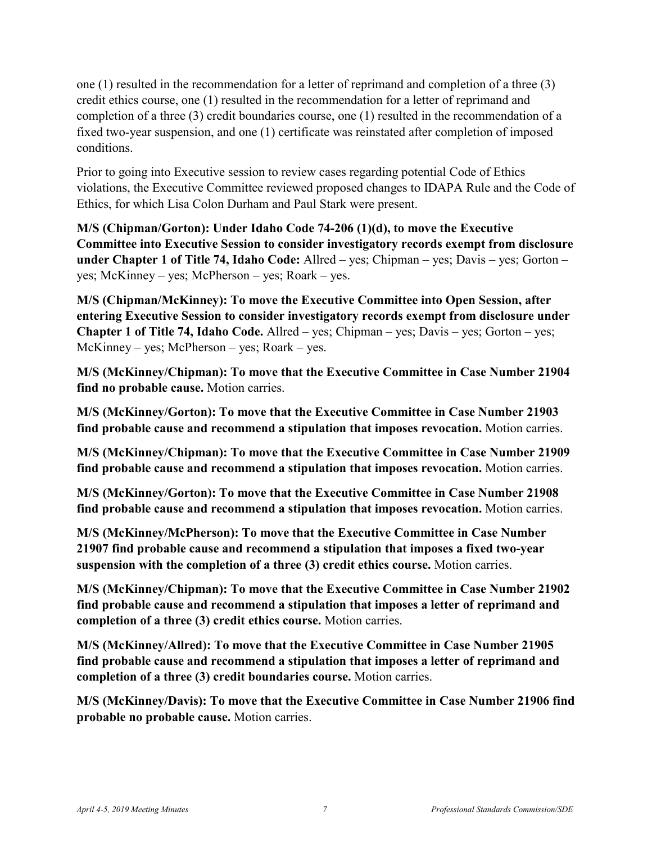one (1) resulted in the recommendation for a letter of reprimand and completion of a three (3) credit ethics course, one (1) resulted in the recommendation for a letter of reprimand and completion of a three (3) credit boundaries course, one (1) resulted in the recommendation of a fixed two-year suspension, and one (1) certificate was reinstated after completion of imposed conditions.

Prior to going into Executive session to review cases regarding potential Code of Ethics violations, the Executive Committee reviewed proposed changes to IDAPA Rule and the Code of Ethics, for which Lisa Colon Durham and Paul Stark were present.

**M/S (Chipman/Gorton): Under Idaho Code 74-206 (1)(d), to move the Executive Committee into Executive Session to consider investigatory records exempt from disclosure under Chapter 1 of Title 74, Idaho Code:** Allred – yes; Chipman – yes; Davis – yes; Gorton – yes; McKinney – yes; McPherson – yes; Roark – yes.

**M/S (Chipman/McKinney): To move the Executive Committee into Open Session, after entering Executive Session to consider investigatory records exempt from disclosure under Chapter 1 of Title 74, Idaho Code.** Allred – yes; Chipman – yes; Davis – yes; Gorton – yes; McKinney – yes; McPherson – yes; Roark – yes.

**M/S (McKinney/Chipman): To move that the Executive Committee in Case Number 21904 find no probable cause.** Motion carries.

**M/S (McKinney/Gorton): To move that the Executive Committee in Case Number 21903 find probable cause and recommend a stipulation that imposes revocation.** Motion carries.

**M/S (McKinney/Chipman): To move that the Executive Committee in Case Number 21909 find probable cause and recommend a stipulation that imposes revocation.** Motion carries.

**M/S (McKinney/Gorton): To move that the Executive Committee in Case Number 21908 find probable cause and recommend a stipulation that imposes revocation.** Motion carries.

**M/S (McKinney/McPherson): To move that the Executive Committee in Case Number 21907 find probable cause and recommend a stipulation that imposes a fixed two-year suspension with the completion of a three (3) credit ethics course.** Motion carries.

**M/S (McKinney/Chipman): To move that the Executive Committee in Case Number 21902 find probable cause and recommend a stipulation that imposes a letter of reprimand and completion of a three (3) credit ethics course.** Motion carries.

**M/S (McKinney/Allred): To move that the Executive Committee in Case Number 21905 find probable cause and recommend a stipulation that imposes a letter of reprimand and completion of a three (3) credit boundaries course.** Motion carries.

**M/S (McKinney/Davis): To move that the Executive Committee in Case Number 21906 find probable no probable cause.** Motion carries.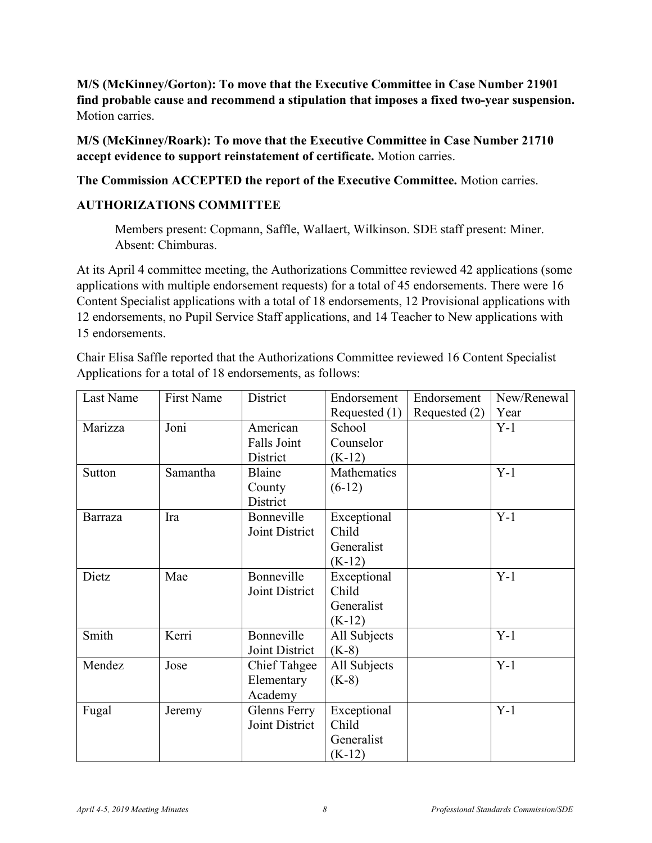**M/S (McKinney/Gorton): To move that the Executive Committee in Case Number 21901 find probable cause and recommend a stipulation that imposes a fixed two-year suspension.**  Motion carries.

**M/S (McKinney/Roark): To move that the Executive Committee in Case Number 21710 accept evidence to support reinstatement of certificate.** Motion carries.

**The Commission ACCEPTED the report of the Executive Committee.** Motion carries.

# **AUTHORIZATIONS COMMITTEE**

Members present: Copmann, Saffle, Wallaert, Wilkinson. SDE staff present: Miner. Absent: Chimburas.

At its April 4 committee meeting, the Authorizations Committee reviewed 42 applications (some applications with multiple endorsement requests) for a total of 45 endorsements. There were 16 Content Specialist applications with a total of 18 endorsements, 12 Provisional applications with 12 endorsements, no Pupil Service Staff applications, and 14 Teacher to New applications with 15 endorsements.

Chair Elisa Saffle reported that the Authorizations Committee reviewed 16 Content Specialist Applications for a total of 18 endorsements, as follows:

| Last Name      | <b>First Name</b> | District            | Endorsement     | Endorsement   | New/Renewal |
|----------------|-------------------|---------------------|-----------------|---------------|-------------|
|                |                   |                     | Requested $(1)$ | Requested (2) | Year        |
| Marizza        | Joni              | American            | School          |               | $Y-1$       |
|                |                   | Falls Joint         | Counselor       |               |             |
|                |                   | District            | $(K-12)$        |               |             |
| Sutton         | Samantha          | Blaine              | Mathematics     |               | $Y-1$       |
|                |                   | County              | $(6-12)$        |               |             |
|                |                   | District            |                 |               |             |
| <b>Barraza</b> | Ira               | Bonneville          | Exceptional     |               | $Y-1$       |
|                |                   | Joint District      | Child           |               |             |
|                |                   |                     | Generalist      |               |             |
|                |                   |                     | $(K-12)$        |               |             |
| Dietz          | Mae               | Bonneville          | Exceptional     |               | $Y-1$       |
|                |                   | Joint District      | Child           |               |             |
|                |                   |                     | Generalist      |               |             |
|                |                   |                     | $(K-12)$        |               |             |
| Smith          | Kerri             | Bonneville          | All Subjects    |               | $Y-1$       |
|                |                   | Joint District      | $(K-8)$         |               |             |
| Mendez         | Jose              | <b>Chief Tahgee</b> | All Subjects    |               | $Y-1$       |
|                |                   | Elementary          | $(K-8)$         |               |             |
|                |                   | Academy             |                 |               |             |
| Fugal          | Jeremy            | Glenns Ferry        | Exceptional     |               | $Y-1$       |
|                |                   | Joint District      | Child           |               |             |
|                |                   |                     | Generalist      |               |             |
|                |                   |                     | $(K-12)$        |               |             |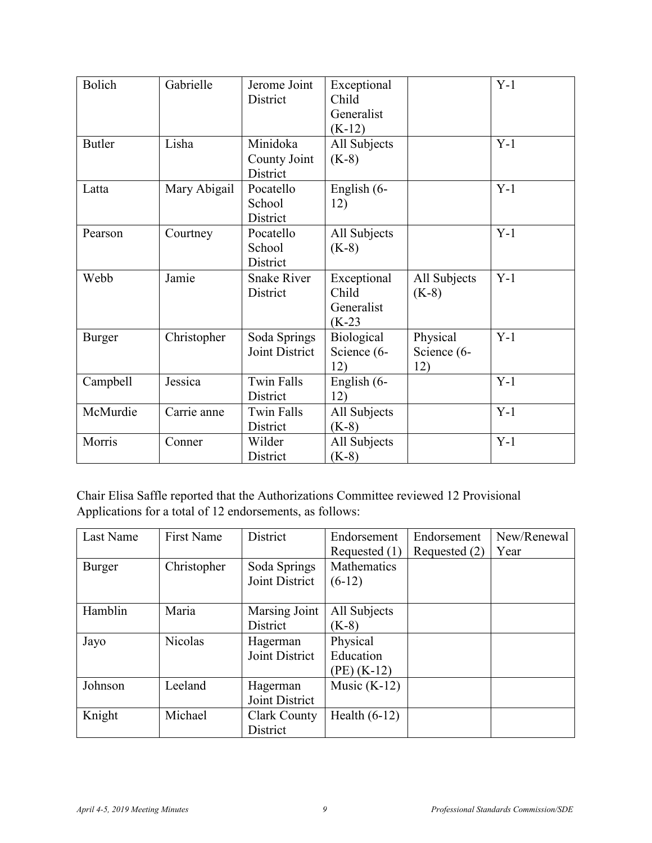| <b>Bolich</b> | Gabrielle    | Jerome Joint       | Exceptional  |              | $Y-1$ |
|---------------|--------------|--------------------|--------------|--------------|-------|
|               |              | District           | Child        |              |       |
|               |              |                    | Generalist   |              |       |
|               |              |                    | $(K-12)$     |              |       |
| <b>Butler</b> | Lisha        | Minidoka           | All Subjects |              | $Y-1$ |
|               |              | County Joint       | $(K-8)$      |              |       |
|               |              | District           |              |              |       |
| Latta         | Mary Abigail | Pocatello          | English (6-  |              | $Y-1$ |
|               |              | School             | 12)          |              |       |
|               |              | District           |              |              |       |
| Pearson       | Courtney     | Pocatello          | All Subjects |              | $Y-1$ |
|               |              | School             | $(K-8)$      |              |       |
|               |              | District           |              |              |       |
| Webb          | Jamie        | <b>Snake River</b> | Exceptional  | All Subjects | $Y-1$ |
|               |              | District           | Child        | $(K-8)$      |       |
|               |              |                    | Generalist   |              |       |
|               |              |                    | $(K-23)$     |              |       |
| Burger        | Christopher  | Soda Springs       | Biological   | Physical     | $Y-1$ |
|               |              | Joint District     | Science (6-  | Science (6-  |       |
|               |              |                    | 12)          | 12)          |       |
| Campbell      | Jessica      | <b>Twin Falls</b>  | English (6-  |              | $Y-1$ |
|               |              | District           | 12)          |              |       |
| McMurdie      | Carrie anne  | <b>Twin Falls</b>  | All Subjects |              | $Y-1$ |
|               |              | District           | $(K-8)$      |              |       |
| Morris        | Conner       | Wilder             | All Subjects |              | $Y-1$ |
|               |              | District           | $(K-8)$      |              |       |

Chair Elisa Saffle reported that the Authorizations Committee reviewed 12 Provisional Applications for a total of 12 endorsements, as follows:

| Last Name | <b>First Name</b> | District       | Endorsement     | Endorsement   | New/Renewal |
|-----------|-------------------|----------------|-----------------|---------------|-------------|
|           |                   |                | Requested (1)   | Requested (2) | Year        |
| Burger    | Christopher       | Soda Springs   | Mathematics     |               |             |
|           |                   | Joint District | $(6-12)$        |               |             |
|           |                   |                |                 |               |             |
| Hamblin   | Maria             | Marsing Joint  | All Subjects    |               |             |
|           |                   | District       | $(K-8)$         |               |             |
| Jayo      | <b>Nicolas</b>    | Hagerman       | Physical        |               |             |
|           |                   | Joint District | Education       |               |             |
|           |                   |                | $(PE)$ (K-12)   |               |             |
| Johnson   | Leeland           | Hagerman       | Music $(K-12)$  |               |             |
|           |                   | Joint District |                 |               |             |
| Knight    | Michael           | Clark County   | Health $(6-12)$ |               |             |
|           |                   | District       |                 |               |             |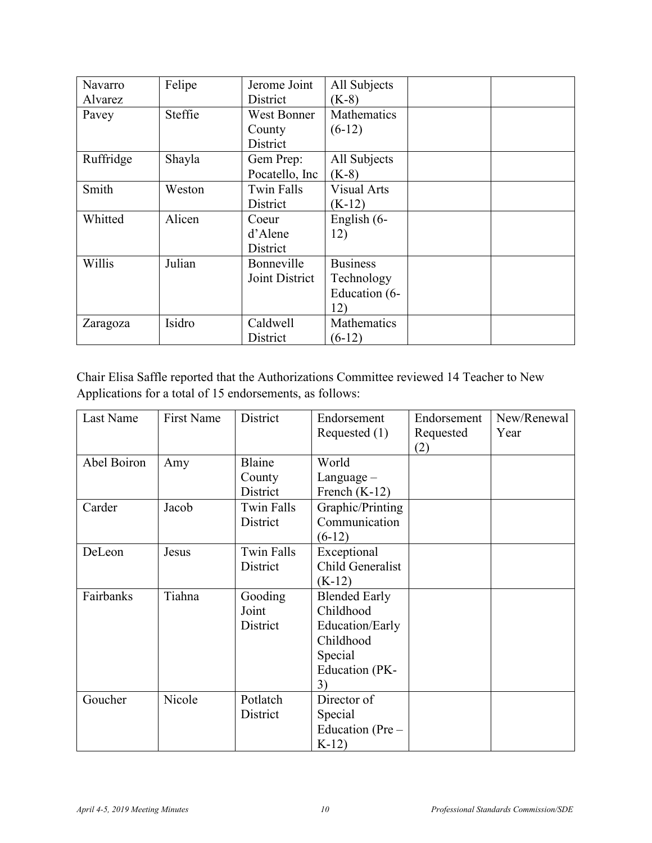| Navarro   | Felipe  | Jerome Joint   | All Subjects       |  |
|-----------|---------|----------------|--------------------|--|
| Alvarez   |         | District       | $(K-8)$            |  |
| Pavey     | Steffie | West Bonner    | Mathematics        |  |
|           |         | County         | $(6-12)$           |  |
|           |         | District       |                    |  |
| Ruffridge | Shayla  | Gem Prep:      | All Subjects       |  |
|           |         | Pocatello, Inc | $(K-8)$            |  |
| Smith     | Weston  | Twin Falls     | <b>Visual Arts</b> |  |
|           |         | District       | $(K-12)$           |  |
| Whitted   | Alicen  | Coeur          | English (6-        |  |
|           |         | d'Alene        | 12)                |  |
|           |         | District       |                    |  |
| Willis    | Julian  | Bonneville     | <b>Business</b>    |  |
|           |         | Joint District | Technology         |  |
|           |         |                | Education (6-      |  |
|           |         |                | 12)                |  |
| Zaragoza  | Isidro  | Caldwell       | Mathematics        |  |
|           |         | District       | $(6-12)$           |  |

Chair Elisa Saffle reported that the Authorizations Committee reviewed 14 Teacher to New Applications for a total of 15 endorsements, as follows:

| Last Name   | <b>First Name</b> | District          | Endorsement          | Endorsement | New/Renewal |
|-------------|-------------------|-------------------|----------------------|-------------|-------------|
|             |                   |                   | Requested $(1)$      | Requested   | Year        |
|             |                   |                   |                      | (2)         |             |
| Abel Boiron | Amy               | Blaine            | World                |             |             |
|             |                   | County            | $L$ anguage $-$      |             |             |
|             |                   | District          | French $(K-12)$      |             |             |
| Carder      | Jacob             | <b>Twin Falls</b> | Graphic/Printing     |             |             |
|             |                   | District          | Communication        |             |             |
|             |                   |                   | $(6-12)$             |             |             |
| DeLeon      | Jesus             | <b>Twin Falls</b> | Exceptional          |             |             |
|             |                   | District          | Child Generalist     |             |             |
|             |                   |                   | $(K-12)$             |             |             |
| Fairbanks   | Tiahna            | Gooding           | <b>Blended Early</b> |             |             |
|             |                   | Joint             | Childhood            |             |             |
|             |                   | District          | Education/Early      |             |             |
|             |                   |                   | Childhood            |             |             |
|             |                   |                   | Special              |             |             |
|             |                   |                   | Education (PK-       |             |             |
|             |                   |                   | 3)                   |             |             |
| Goucher     | Nicole            | Potlatch          | Director of          |             |             |
|             |                   | District          | Special              |             |             |
|             |                   |                   | Education (Pre –     |             |             |
|             |                   |                   | $K-12$               |             |             |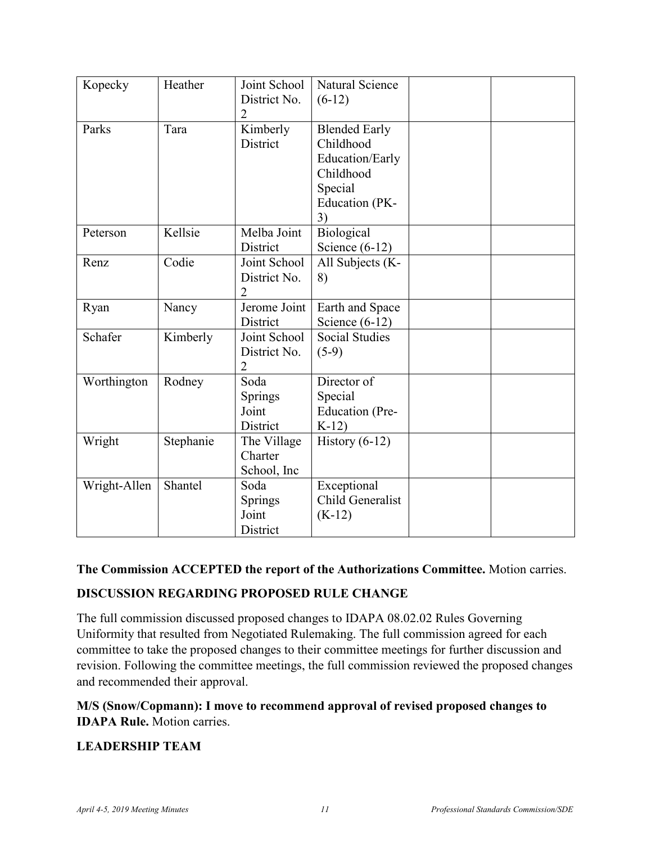| Kopecky      | Heather   | Joint School<br>District No.<br>2              | Natural Science<br>$(6-12)$                                                                          |  |
|--------------|-----------|------------------------------------------------|------------------------------------------------------------------------------------------------------|--|
| Parks        | Tara      | Kimberly<br>District                           | <b>Blended Early</b><br>Childhood<br>Education/Early<br>Childhood<br>Special<br>Education (PK-<br>3) |  |
| Peterson     | Kellsie   | Melba Joint<br>District                        | Biological<br>Science $(6-12)$                                                                       |  |
| Renz         | Codie     | Joint School<br>District No.<br>2              | All Subjects (K-<br>8)                                                                               |  |
| Ryan         | Nancy     | Jerome Joint<br>District                       | Earth and Space<br>Science $(6-12)$                                                                  |  |
| Schafer      | Kimberly  | Joint School<br>District No.<br>$\overline{2}$ | <b>Social Studies</b><br>$(5-9)$                                                                     |  |
| Worthington  | Rodney    | Soda<br>Springs<br>Joint<br>District           | Director of<br>Special<br><b>Education</b> (Pre-<br>$K-12$                                           |  |
| Wright       | Stephanie | The Village<br>Charter<br>School, Inc          | History $(6-12)$                                                                                     |  |
| Wright-Allen | Shantel   | Soda<br>Springs<br>Joint<br>District           | Exceptional<br>Child Generalist<br>$(K-12)$                                                          |  |

#### **The Commission ACCEPTED the report of the Authorizations Committee.** Motion carries.

#### **DISCUSSION REGARDING PROPOSED RULE CHANGE**

The full commission discussed proposed changes to IDAPA 08.02.02 Rules Governing Uniformity that resulted from Negotiated Rulemaking. The full commission agreed for each committee to take the proposed changes to their committee meetings for further discussion and revision. Following the committee meetings, the full commission reviewed the proposed changes and recommended their approval.

#### **M/S (Snow/Copmann): I move to recommend approval of revised proposed changes to IDAPA Rule.** Motion carries.

#### **LEADERSHIP TEAM**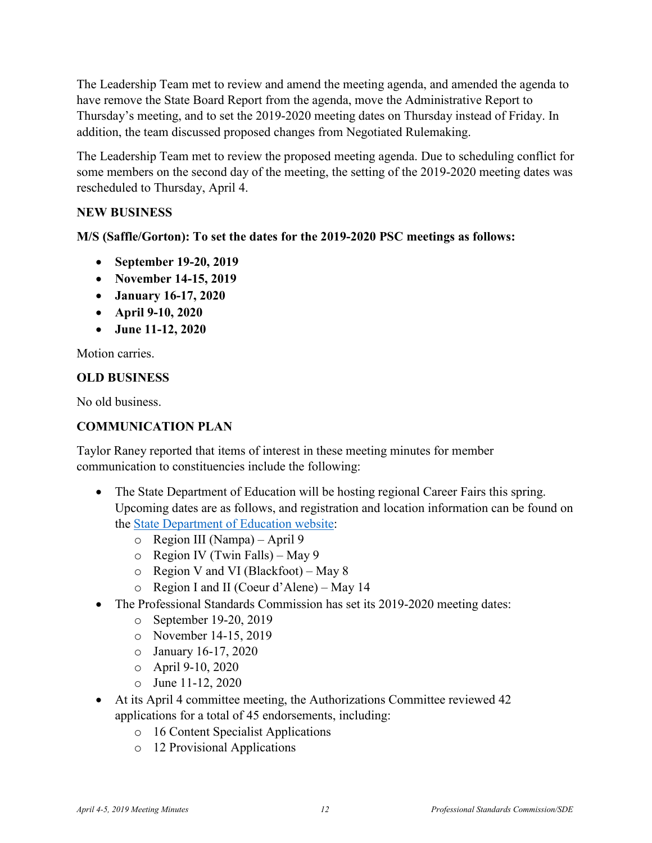The Leadership Team met to review and amend the meeting agenda, and amended the agenda to have remove the State Board Report from the agenda, move the Administrative Report to Thursday's meeting, and to set the 2019-2020 meeting dates on Thursday instead of Friday. In addition, the team discussed proposed changes from Negotiated Rulemaking.

The Leadership Team met to review the proposed meeting agenda. Due to scheduling conflict for some members on the second day of the meeting, the setting of the 2019-2020 meeting dates was rescheduled to Thursday, April 4.

#### **NEW BUSINESS**

**M/S (Saffle/Gorton): To set the dates for the 2019-2020 PSC meetings as follows:** 

- **September 19-20, 2019**
- **November 14-15, 2019**
- **January 16-17, 2020**
- **April 9-10, 2020**
- **June 11-12, 2020**

Motion carries.

## **OLD BUSINESS**

No old business.

# **COMMUNICATION PLAN**

Taylor Raney reported that items of interest in these meeting minutes for member communication to constituencies include the following:

- The State Department of Education will be hosting regional Career Fairs this spring. Upcoming dates are as follows, and registration and location information can be found on the [State Department of Education website:](http://www.sde.idaho.gov/events/career-fair/index.html)
	- o Region III (Nampa) April 9
	- o Region IV (Twin Falls) May 9
	- o Region V and VI (Blackfoot) May 8
	- o Region I and II (Coeur d'Alene) May 14
- The Professional Standards Commission has set its 2019-2020 meeting dates:
	- o September 19-20, 2019
	- o November 14-15, 2019
	- o January 16-17, 2020
	- o April 9-10, 2020
	- $\circ$  June 11-12, 2020
- At its April 4 committee meeting, the Authorizations Committee reviewed 42 applications for a total of 45 endorsements, including:
	- o 16 Content Specialist Applications
	- o 12 Provisional Applications